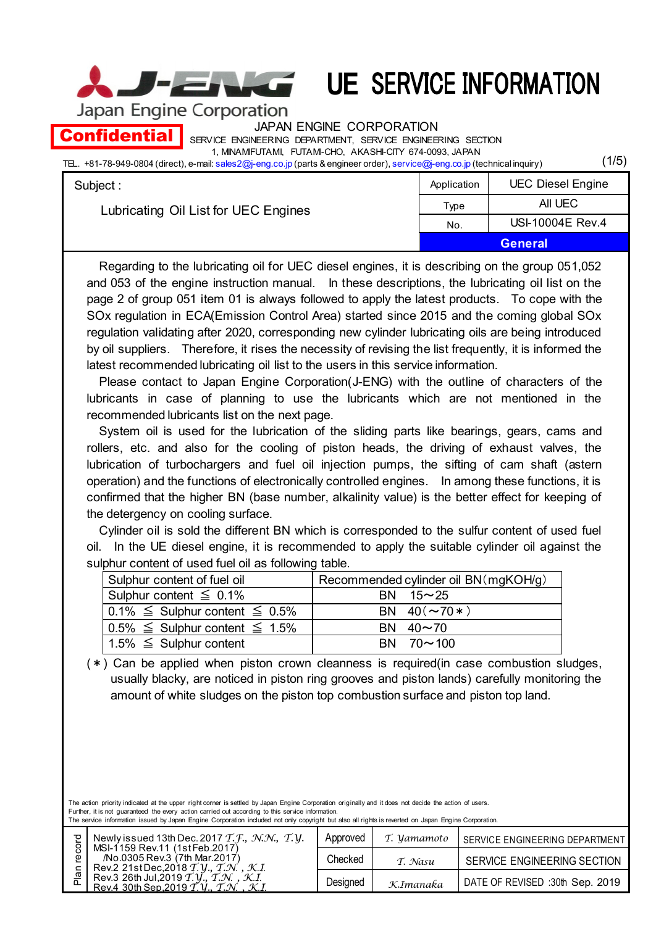(1/5)

Japan Engine Corporation

į

JAPAN ENGINE CORPORATION

SERVICE ENGINEERING DEPARTMENT, SERVICE ENGINEERING SECTION 1, MINAMIFUTAMI, FUTAMI-CHO, AKASHI-CITY 674-0093, JAPAN **Confidential** 

TEL. +81-78-949-0804 (direct), e-mail: sales2@j-eng.co.jp (parts & engineer order), service@j-eng.co.jp (technical inquiry)

| Subject:                             | Application    | <b>UEC Diesel Engine</b> |
|--------------------------------------|----------------|--------------------------|
| Lubricating Oil List for UEC Engines | Type           | AII UEC                  |
|                                      | No.            | USI-10004E Rev.4         |
|                                      | <b>General</b> |                          |

Regarding to the lubricating oil for UEC diesel engines, it is describing on the group 051,052 and 053 of the engine instruction manual. In these descriptions, the lubricating oil list on the page 2 of group 051 item 01 is always followed to apply the latest products. To cope with the SOx regulation in ECA(Emission Control Area) started since 2015 and the coming global SOx regulation validating after 2020, corresponding new cylinder lubricating oils are being introduced by oil suppliers. Therefore, it rises the necessity of revising the list frequently, it is informed the latest recommended lubricating oil list to the users in this service information.

Please contact to Japan Engine Corporation(J-ENG) with the outline of characters of the lubricants in case of planning to use the lubricants which are not mentioned in the recommended lubricants list on the next page.

System oil is used for the lubrication of the sliding parts like bearings, gears, cams and rollers, etc. and also for the cooling of piston heads, the driving of exhaust valves, the lubrication of turbochargers and fuel oil injection pumps, the sifting of cam shaft (astern operation) and the functions of electronically controlled engines. In among these functions, it is confirmed that the higher BN (base number, alkalinity value) is the better effect for keeping of the detergency on cooling surface.

Cylinder oil is sold the different BN which is corresponded to the sulfur content of used fuel oil. In the UE diesel engine, it is recommended to apply the suitable cylinder oil against the sulphur content of used fuel oil as following table.

| Sulphur content of fuel oil               | Recommended cylinder oil BN (mgKOH/g) |  |  |
|-------------------------------------------|---------------------------------------|--|--|
| Sulphur content $\leq 0.1\%$              | BN $15 \sim 25$                       |  |  |
| $0.1\% \leq$ Sulphur content $\leq 0.5\%$ | BN $40(\sim 70*)$                     |  |  |
| $0.5\% \leq$ Sulphur content $\leq$ 1.5%  | BN $40 \sim 70$                       |  |  |
| 1.5% $\leq$ Sulphur content               | $BN$ 70 $\sim$ 100                    |  |  |

(\*) Can be applied when piston crown cleanness is required(in case combustion sludges, usually blacky, are noticed in piston ring grooves and piston lands) carefully monitoring the amount of white sludges on the piston top combustion surface and piston top land.

The action priority indicated at the upper right corner is settled by Japan Engine Corporation originally and it does not decide the action of users. Further, it is not guaranteed the every action carried out according to this service information. The service information issued by Japan Engine Corporation included not only copyright but also all rights is reverted on Japan Engine Corporation.

| ਹ                                                                                                                                                                                        | Newly issued 13th Dec. 2017 T. F., N.N., T.Y.                                                                                                                                                          | Approved  | T. <i>Vamamoto</i>              | SERVICE ENGINEERING DEPARTMENT |
|------------------------------------------------------------------------------------------------------------------------------------------------------------------------------------------|--------------------------------------------------------------------------------------------------------------------------------------------------------------------------------------------------------|-----------|---------------------------------|--------------------------------|
| 8<br>Φ<br>c                                                                                                                                                                              | MSI-1159 Rev.11 (1st Feb.2017)<br>/No.0305 Rev.3 (7th Mar.2017)<br>Rev.2 21stDec, 2018 $\mathcal{T}$ , $\mathcal{Y}$ , $\mathcal{T}$ , $\mathcal{N}$ , $\mathcal{K}$ , $\mathcal{K}$ , $\mathcal{I}$ . | Checked   | T. Nasu                         | SERVICE ENGINEERING SECTION    |
| $\overline{\omega}$<br>Rev.3 26th Jul, 2019 $T, V, T, N, K$ .<br>Rev.4 30th Sep.2019 $\mathcal{T}$ , $V$ , $\mathcal{T}$ , $\mathcal{N}$ , $\mathcal{K}$ , $\mathcal{K}$ , $\mathcal{K}$ | Designed                                                                                                                                                                                               | K.Imanaƙa | DATE OF REVISED :30th Sep. 2019 |                                |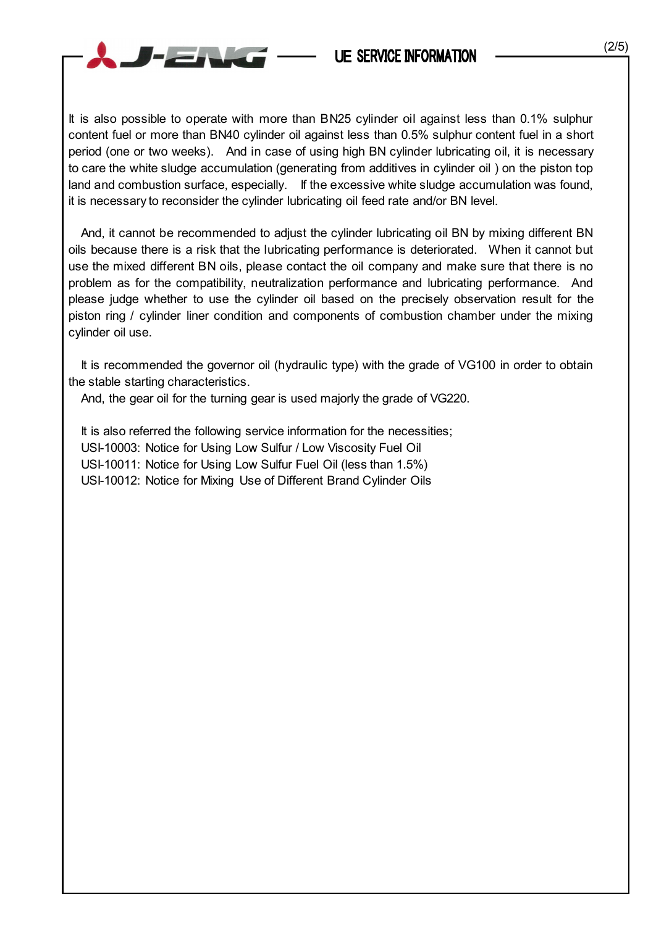

And, it cannot be recommended to adjust the cylinder lubricating oil BN by mixing different BN oils because there is a risk that the lubricating performance is deteriorated. When it cannot but use the mixed different BN oils, please contact the oil company and make sure that there is no problem as for the compatibility, neutralization performance and lubricating performance. And please judge whether to use the cylinder oil based on the precisely observation result for the piston ring / cylinder liner condition and components of combustion chamber under the mixing cylinder oil use.

It is recommended the governor oil (hydraulic type) with the grade of VG100 in order to obtain the stable starting characteristics.

And, the gear oil for the turning gear is used majorly the grade of VG220.

 $-$ 

It is also referred the following service information for the necessities; USI-10003: Notice for Using Low Sulfur / Low Viscosity Fuel Oil USI-10011: Notice for Using Low Sulfur Fuel Oil (less than 1.5%) USI-10012: Notice for Mixing Use of Different Brand Cylinder Oils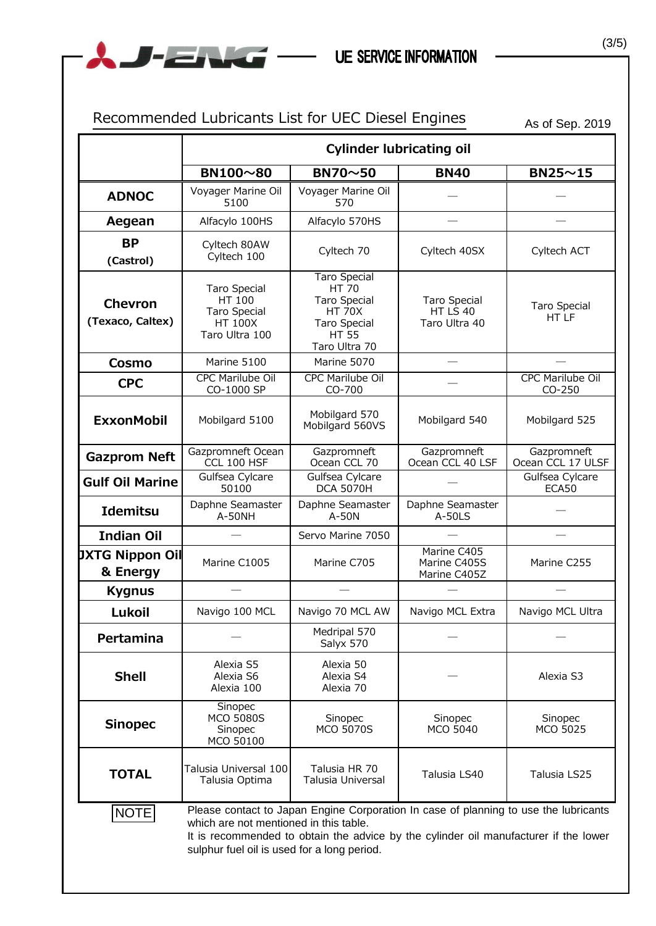| Recommended Lubricants List for UEC Diesel Engines<br>As of Sep. 2019                                                                                                                                                                                                         |                                                                                          |                                                                                                                       |                                                  |                                   |
|-------------------------------------------------------------------------------------------------------------------------------------------------------------------------------------------------------------------------------------------------------------------------------|------------------------------------------------------------------------------------------|-----------------------------------------------------------------------------------------------------------------------|--------------------------------------------------|-----------------------------------|
|                                                                                                                                                                                                                                                                               | <b>Cylinder lubricating oil</b>                                                          |                                                                                                                       |                                                  |                                   |
|                                                                                                                                                                                                                                                                               | BN100~80                                                                                 | BN70~50                                                                                                               | <b>BN40</b>                                      | $BN25 \sim 15$                    |
| <b>ADNOC</b>                                                                                                                                                                                                                                                                  | Voyager Marine Oil<br>5100                                                               | Voyager Marine Oil<br>570                                                                                             |                                                  |                                   |
| Aegean                                                                                                                                                                                                                                                                        | Alfacylo 100HS                                                                           | Alfacylo 570HS                                                                                                        |                                                  |                                   |
| <b>BP</b><br>(Castrol)                                                                                                                                                                                                                                                        | Cyltech 80AW<br>Cyltech 100                                                              | Cyltech 70                                                                                                            | Cyltech 40SX                                     | Cyltech ACT                       |
| <b>Chevron</b><br>(Texaco, Caltex)                                                                                                                                                                                                                                            | <b>Taro Special</b><br>HT 100<br><b>Taro Special</b><br><b>HT 100X</b><br>Taro Ultra 100 | <b>Taro Special</b><br>HT 70<br><b>Taro Special</b><br><b>HT 70X</b><br>Taro Special<br><b>HT 55</b><br>Taro Ultra 70 | <b>Taro Special</b><br>HT LS 40<br>Taro Ultra 40 | <b>Taro Special</b><br>HT LF      |
| Cosmo                                                                                                                                                                                                                                                                         | Marine 5100                                                                              | Marine 5070                                                                                                           |                                                  |                                   |
| <b>CPC</b>                                                                                                                                                                                                                                                                    | <b>CPC Marilube Oil</b><br>CO-1000 SP                                                    | <b>CPC Marilube Oil</b><br>CO-700                                                                                     |                                                  | <b>CPC Marilube Oil</b><br>CO-250 |
| <b>ExxonMobil</b>                                                                                                                                                                                                                                                             | Mobilgard 5100                                                                           | Mobilgard 570<br>Mobilgard 560VS                                                                                      | Mobilgard 540                                    | Mobilgard 525                     |
| <b>Gazprom Neft</b>                                                                                                                                                                                                                                                           | Gazpromneft Ocean<br>CCL 100 HSF                                                         | Gazpromneft<br>Ocean CCL 70                                                                                           | Gazpromneft<br>Ocean CCL 40 LSF                  | Gazpromneft<br>Ocean CCL 17 ULSF  |
| <b>Gulf Oil Marine</b>                                                                                                                                                                                                                                                        | Gulfsea Cylcare<br>50100                                                                 | Gulfsea Cylcare<br><b>DCA 5070H</b>                                                                                   |                                                  | Gulfsea Cylcare<br>ECA50          |
| <b>Idemitsu</b>                                                                                                                                                                                                                                                               | Daphne Seamaster<br>A-50NH                                                               | Daphne Seamaster<br>A-50N                                                                                             | Daphne Seamaster<br>A-50LS                       |                                   |
| <b>Indian Oil</b>                                                                                                                                                                                                                                                             |                                                                                          | Servo Marine 7050                                                                                                     |                                                  |                                   |
| <b>JXTG Nippon Oil</b><br>& Energy                                                                                                                                                                                                                                            | Marine C1005                                                                             | Marine C705                                                                                                           | Marine C405<br>Marine C405S<br>Marine C405Z      | Marine C255                       |
| <b>Kygnus</b>                                                                                                                                                                                                                                                                 |                                                                                          |                                                                                                                       |                                                  |                                   |
| Lukoil                                                                                                                                                                                                                                                                        | Navigo 100 MCL                                                                           | Navigo 70 MCL AW                                                                                                      | Navigo MCL Extra                                 | Navigo MCL Ultra                  |
| Pertamina                                                                                                                                                                                                                                                                     |                                                                                          | Medripal 570<br>Salyx 570                                                                                             |                                                  |                                   |
| <b>Shell</b>                                                                                                                                                                                                                                                                  | Alexia S5<br>Alexia S6<br>Alexia 100                                                     | Alexia 50<br>Alexia S4<br>Alexia 70                                                                                   |                                                  | Alexia S3                         |
| <b>Sinopec</b>                                                                                                                                                                                                                                                                | Sinopec<br><b>MCO 5080S</b><br>Sinopec<br>MCO 50100                                      | Sinopec<br><b>MCO 5070S</b>                                                                                           | Sinopec<br>MCO 5040                              | Sinopec<br>MCO 5025               |
| <b>TOTAL</b>                                                                                                                                                                                                                                                                  | Talusia Universal 100<br>Talusia Optima                                                  | Talusia HR 70<br>Talusia Universal                                                                                    | Talusia LS40                                     | Talusia LS25                      |
| Please contact to Japan Engine Corporation In case of planning to use the lubricants<br>NOTE<br>which are not mentioned in this table.<br>It is recommended to obtain the advice by the cylinder oil manufacturer if the lower<br>sulphur fuel oil is used for a long period. |                                                                                          |                                                                                                                       |                                                  |                                   |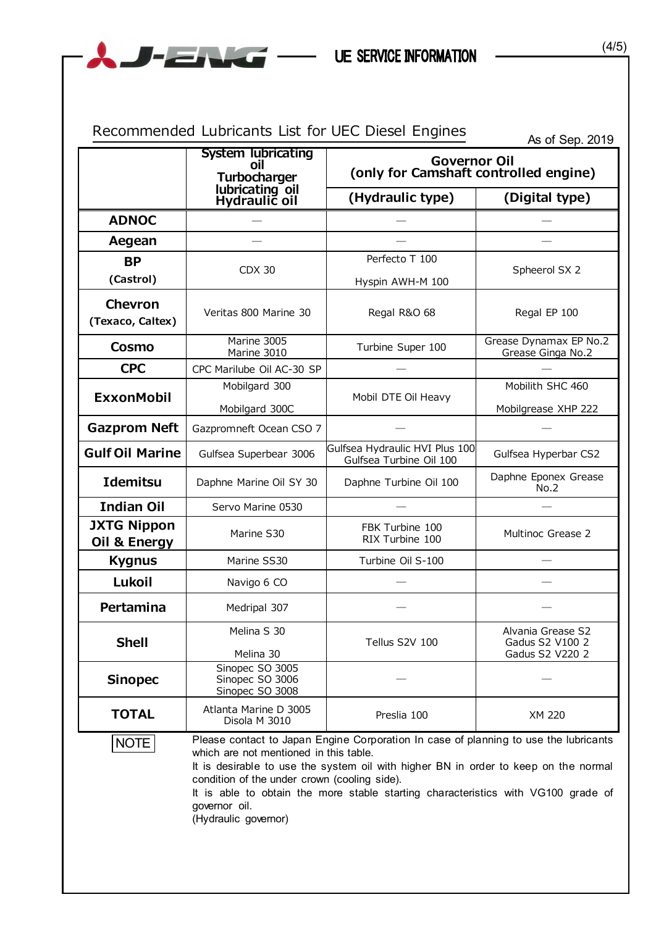|                                    | <b>System lubricating</b><br>oil<br>Turbocharger<br>lubricating oil<br>Hydraulic oil                                            | As of Sep. 2019<br><b>Governor Oil</b><br>(only for Camshaft controlled engine)                                                                                                                                                                                  |                                                         |  |
|------------------------------------|---------------------------------------------------------------------------------------------------------------------------------|------------------------------------------------------------------------------------------------------------------------------------------------------------------------------------------------------------------------------------------------------------------|---------------------------------------------------------|--|
|                                    |                                                                                                                                 | (Hydraulic type)                                                                                                                                                                                                                                                 | (Digital type)                                          |  |
| <b>ADNOC</b>                       |                                                                                                                                 |                                                                                                                                                                                                                                                                  |                                                         |  |
| Aegean                             |                                                                                                                                 |                                                                                                                                                                                                                                                                  |                                                         |  |
| <b>BP</b>                          | <b>CDX 30</b>                                                                                                                   | Perfecto T 100                                                                                                                                                                                                                                                   |                                                         |  |
| (Castrol)                          |                                                                                                                                 | Hyspin AWH-M 100                                                                                                                                                                                                                                                 | Spheerol SX 2                                           |  |
| Chevron<br>(Texaco, Caltex)        | Veritas 800 Marine 30                                                                                                           | Regal R&O 68                                                                                                                                                                                                                                                     | Regal EP 100                                            |  |
| Cosmo                              | Marine 3005<br>Marine 3010                                                                                                      | Turbine Super 100                                                                                                                                                                                                                                                | Grease Dynamax EP No.2<br>Grease Ginga No.2             |  |
| <b>CPC</b>                         | CPC Marilube Oil AC-30 SP                                                                                                       |                                                                                                                                                                                                                                                                  |                                                         |  |
| <b>ExxonMobil</b>                  | Mobilgard 300                                                                                                                   | Mobil DTE Oil Heavy                                                                                                                                                                                                                                              | Mobilith SHC 460                                        |  |
|                                    | Mobilgard 300C                                                                                                                  |                                                                                                                                                                                                                                                                  | Mobilgrease XHP 222                                     |  |
| <b>Gazprom Neft</b>                | Gazpromneft Ocean CSO 7                                                                                                         |                                                                                                                                                                                                                                                                  |                                                         |  |
| <b>Gulf Oil Marine</b>             | Gulfsea Superbear 3006                                                                                                          | Gulfsea Hydraulic HVI Plus 100<br>Gulfsea Turbine Oil 100                                                                                                                                                                                                        | Gulfsea Hyperbar CS2                                    |  |
| <b>Idemitsu</b>                    | Daphne Marine Oil SY 30                                                                                                         | Daphne Turbine Oil 100                                                                                                                                                                                                                                           | Daphne Eponex Grease<br>No.2                            |  |
| <b>Indian Oil</b>                  | Servo Marine 0530                                                                                                               |                                                                                                                                                                                                                                                                  |                                                         |  |
| <b>JXTG Nippon</b><br>Oil & Energy | Marine S30                                                                                                                      | FBK Turbine 100<br>RIX Turbine 100                                                                                                                                                                                                                               | Multinoc Grease 2                                       |  |
| <b>Kygnus</b>                      | Marine SS30                                                                                                                     | Turbine Oil S-100                                                                                                                                                                                                                                                |                                                         |  |
| Lukoil                             | Navigo 6 CO                                                                                                                     |                                                                                                                                                                                                                                                                  |                                                         |  |
| Pertamina                          | Medripal 307                                                                                                                    |                                                                                                                                                                                                                                                                  |                                                         |  |
| <b>Shell</b>                       | Melina S 30<br>Melina 30                                                                                                        | Tellus S2V 100                                                                                                                                                                                                                                                   | Alvania Grease S2<br>Gadus S2 V100 2<br>Gadus S2 V220 2 |  |
| <b>Sinopec</b>                     | Sinopec SO 3005<br>Sinopec SO 3006<br>Sinopec SO 3008                                                                           |                                                                                                                                                                                                                                                                  |                                                         |  |
| <b>TOTAL</b>                       | Atlanta Marine D 3005<br>Disola M 3010                                                                                          | Preslia 100                                                                                                                                                                                                                                                      | XM 220                                                  |  |
| NOTE                               | which are not mentioned in this table.<br>condition of the under crown (cooling side).<br>governor oil.<br>(Hydraulic governor) | Please contact to Japan Engine Corporation In case of planning to use the lubricants<br>It is desirable to use the system oil with higher BN in order to keep on the normal<br>It is able to obtain the more stable starting characteristics with VG100 grade of |                                                         |  |

(4/5)